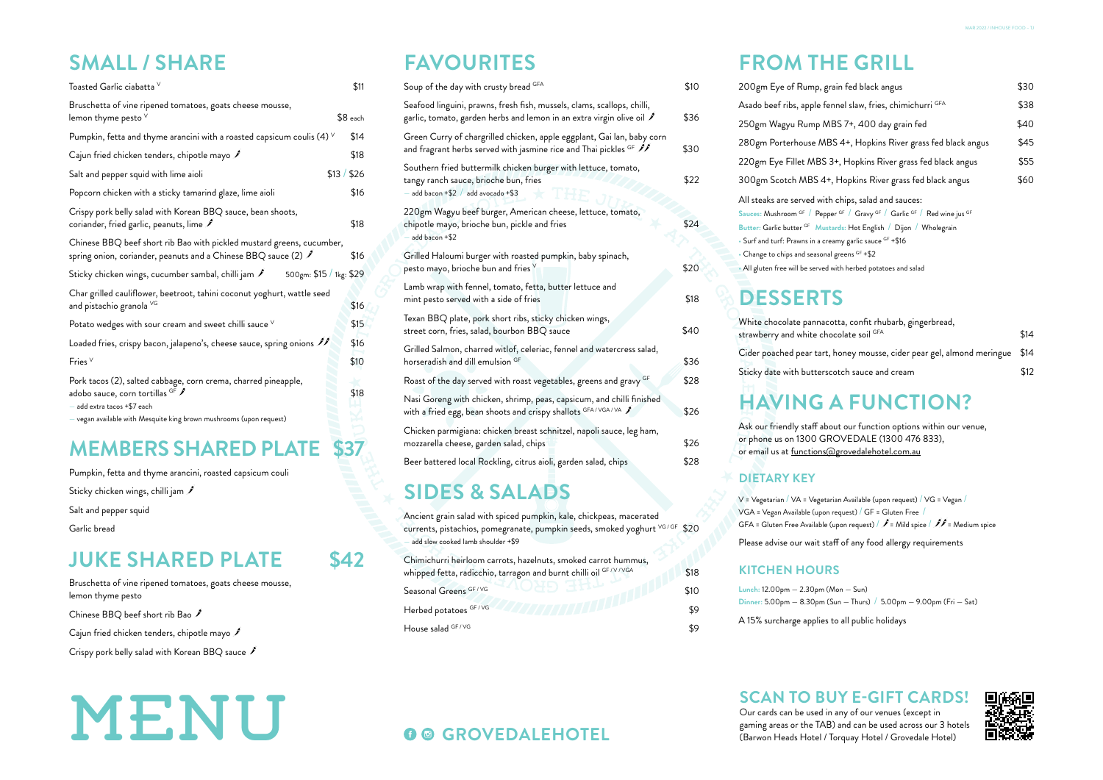# MENU

### **SMALL / SHARE**

| Soup of the day with crusty bread GFA                                                                                                                                              | \$10 |
|------------------------------------------------------------------------------------------------------------------------------------------------------------------------------------|------|
| Seafood linguini, prawns, fresh fish, mussels, clams, scallops, chilli,<br>garlic, tomato, garden herbs and lemon in an extra virgin olive oil $\mathcal I$                        | \$36 |
| Green Curry of chargrilled chicken, apple eggplant, Gai lan, baby corn<br>and fragrant herbs served with jasmine rice and Thai pickles $^\mathrm{GF}$ $\mathscr{P}\!\!\mathscr{I}$ | \$30 |
| Southern fried buttermilk chicken burger with lettuce, tomato,<br>tangy ranch sauce, brioche bun, fries<br>add bacon $+ $2$ / add avocado $+ $3$                                   | \$22 |
| 220gm Wagyu beef burger, American cheese, lettuce, tomato,<br>chipotle mayo, brioche bun, pickle and fries<br>$-$ add bacon $+$ \$2                                                | \$24 |
| Grilled Haloumi burger with roasted pumpkin, baby spinach,<br>pesto mayo, brioche bun and fries $\vee$                                                                             | \$20 |
| Lamb wrap with fennel, tomato, fetta, butter lettuce and<br>mint pesto served with a side of fries                                                                                 | \$18 |
| Texan BBQ plate, pork short ribs, sticky chicken wings,<br>street corn, fries, salad, bourbon BBQ sauce                                                                            | \$40 |
| Grilled Salmon, charred witlof, celeriac, fennel and watercress salad,<br>horseradish and dill emulsion GF                                                                         | \$36 |
| Roast of the day served with roast vegetables, greens and gravy GF                                                                                                                 | \$28 |
| Nasi Goreng with chicken, shrimp, peas, capsicum, and chilli finished<br>with a fried egg, bean shoots and crispy shallots GFA/VGA/VA \$                                           | \$26 |
| Chicken parmigiana: chicken breast schnitzel, napoli sauce, leg ham,<br>mozzarella cheese, garden salad, chips                                                                     | \$26 |
| Beer battered local Rockling, citrus aioli, garden salad, chips                                                                                                                    | \$28 |
|                                                                                                                                                                                    |      |

200gm Eye of Rump, gra Asado beef ribs, apple fen 250gm Wagyu Rump ME 280gm Porterhouse MB 220gm Eye Fillet MBS 3+ 300gm Scotch MBS 4+, All steaks are served with Sauces: Mushroom <sup>GF</sup> / Peppe **Butter: Garlic butter GF Musta** • Surf and turf: Prawns in a creamy garlic sauce GF +\$16 • Change to chips and seasonal greens GF +\$2 • All gluten free will be served with herbed potatoes and salad

# **FAVOURITES**

Ancient grain salad with spiced pumpkin, kale, chickpeas, macerated currents, pistachios, pomegranate, pumpkin seeds, smoked yoghurt VG/GF \$20 add slow cooked lamb shoulder +\$9

Chimichurri heirloom carrots, hazelnuts, smoked carrot hummus, whipped fetta, radicchio, tarragon and burnt chilli oil GF / V / VGA \$18

Seasonal Greens GF / VG **& 10 AM AND AND AND AND AND AND STO** Herbed potatoes GF / VG \$9

House salad  $GF/VG$  59

# **FROM THE GRILL**

Our cards can be used in any of our venues (except in **GROVEDALEHOTEL** gaming areas or the TAB) and can be used across our 3 hotels **GROVEDALEHOTEL** (Barwon Heads Hotel / Torquay Hotel / Grovedale Hotel)

| ain fed black angus                                                                        | \$3C |  |  |  |
|--------------------------------------------------------------------------------------------|------|--|--|--|
| nnel slaw, fries, chimichurri <sup>GFA</sup>                                               |      |  |  |  |
| 3S 7+, 400 day grain fed                                                                   | \$40 |  |  |  |
| S 4+, Hopkins River grass fed black angus                                                  | \$45 |  |  |  |
| +, Hopkins River grass fed black angus                                                     | \$55 |  |  |  |
| Hopkins River grass fed black angus                                                        |      |  |  |  |
| chips, salad and sauces:                                                                   |      |  |  |  |
| er <sup>GF</sup> / Gravy <sup>GF</sup> / Garlic <sup>GF</sup> / Red wine jus <sup>GF</sup> |      |  |  |  |
| a <mark>rds:</mark> Hot English / Dijon / Wholegrain                                       |      |  |  |  |
|                                                                                            |      |  |  |  |

- 
- 
- 

| otta, confit rhubarb, gingerbread,<br>colate soil <sup>GFA</sup> | \$14 |
|------------------------------------------------------------------|------|
| honey mousse, cider pear gel, almond meringue \$14               |      |
| otch sauce and cream                                             | \$12 |

V = Vegetarian / VA = Vegetarian Available (upon request) / VG = Vegan / VGA = Vegan Available (upon request) / GF = Gluten Free / GFA = Gluten Free Available (upon request) /  $\hat{J}$  = Mild spice /  $\hat{J}$  = Medium spice Please advise our wait staff of any food allergy requirements

**Lunch:** 12.00pm — 2.30pm (Mon — Sun) **Dinner:** 5.00pm — 8.30pm (Sun — Thurs) / 5.00pm — 9.00pm (Fri — Sat)

A 15% surcharge applies to all public holidays

Ask our friendly staff about our function options within our venue, or phone us on 1300 GROVEDALE (1300 476 833), or email us at functions@grovedalehotel.com.au

### **DESSERTS**

White chocolate pannaco strawberry and white cho Cider poached pear tart, Sticky date with buttersco

### **DIETARY KEY**

### **KITCHEN HOURS**

### **HAVING A FUNCTION?**



Pumpkin, fetta and thyme arancini, roasted capsicum couli

Sticky chicken wings, chilli jam

Salt and pepper squid

Garlic bread

Bruschetta of vine ripened tomatoes, goats cheese mousse, lemon thyme pesto

Chinese BBQ beef short rib Bao

Cajun fried chicken tenders, chipotle mayo

Crispy pork belly salad with Korean BBQ sauce  $\hat{J}$ 

### **JUKE SHARED PLATE \$42**

# **SIDES & SALADS**

| Toasted Garlic ciabatta V                                                                                                                                                                                  | \$11        |
|------------------------------------------------------------------------------------------------------------------------------------------------------------------------------------------------------------|-------------|
| Bruschetta of vine ripened tomatoes, goats cheese mousse,<br>lemon thyme pesto ${}^{\vee}$                                                                                                                 | $$8$ each   |
| Pumpkin, fetta and thyme arancini with a roasted capsicum coulis (4) $\vee$                                                                                                                                | \$14        |
| Cajun fried chicken tenders, chipotle mayo $\hat{J}$                                                                                                                                                       | \$18        |
| Salt and pepper squid with lime aioli                                                                                                                                                                      | \$13 / \$26 |
| Popcorn chicken with a sticky tamarind glaze, lime aioli                                                                                                                                                   | \$16        |
| Crispy pork belly salad with Korean BBQ sauce, bean shoots,<br>coriander, fried garlic, peanuts, lime $\hat{\mathscr{I}}$                                                                                  | \$18        |
| Chinese BBQ beef short rib Bao with pickled mustard greens, cucumber,<br>spring onion, coriander, peanuts and a Chinese BBQ sauce (2) $\hat{\mathcal{J}}$                                                  | \$16        |
| Sticky chicken wings, cucumber sambal, chilli jam $\hat{J}$<br>500gm: \$15 / 1kg: \$29                                                                                                                     |             |
| Char grilled cauliflower, beetroot, tahini coconut yoghurt, wattle seed<br>and pistachio granola VG                                                                                                        | \$16        |
| Potato wedges with sour cream and sweet chilli sauce $\vee$                                                                                                                                                | \$15        |
| Loaded fries, crispy bacon, jalapeno's, cheese sauce, spring onions $\mathscr{I}\!\!\mathscr{I}$                                                                                                           | \$16        |
| Fries $V$                                                                                                                                                                                                  | \$10        |
| Pork tacos (2), salted cabbage, corn crema, charred pineapple,<br>adobo sauce, corn tortillas GF ∕<br>- add extra tacos +\$7 each<br>$-$ vegan available with Mesquite king brown mushrooms (upon request) | \$18        |
| <b>MEMBERS SHARED PLAT</b>                                                                                                                                                                                 |             |

# **SCAN TO BUY E-GIFT CARDS!**